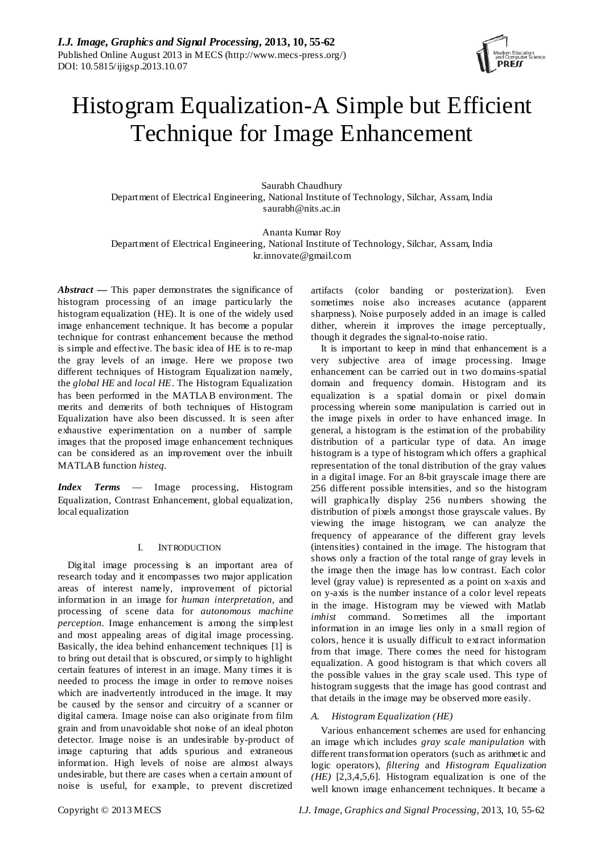

# Histogram Equalization-A Simple but Efficient Technique for Image Enhancement

Saurabh Chaudhury Department of Electrical Engineering, National Institute of Technology, Silchar, Assam, India [saurabh@nits.ac.in](mailto:saurabh@nits.ac.in)

Ananta Kumar Roy Department of Electrical Engineering, National Institute of Technology, Silchar, Assam, India kr.innovate@gmail.com

*Abstract* **—** This paper demonstrates the significance of histogram processing of an image particularly the histogram equalization (HE). It is one of the widely used image enhancement technique. It has become a popular technique for contrast enhancement because the method is simple and effective. The basic idea of HE is to re-map the gray levels of an image. Here we propose two different techniques of Histogram Equalization namely, the *global HE* and *local HE*. The Histogram Equalization has been performed in the MATLAB environment. The merits and demerits of both techniques of Histogram Equalization have also been discussed. It is seen after exhaustive experimentation on a number of sample images that the proposed image enhancement techniques can be considered as an improvement over the inbuilt MATLAB function *histeq.*

*Index Terms* — Image processing, Histogram Equalization, Contrast Enhancement, global equalization, local equalization

# I. INTRODUCTION

Digital image processing is an important area of research today and it encompasses two major application areas of interest namely, improvement of pictorial information in an image for *human interpretation*, and processing of scene data for *autonomous machine perception.* Image enhancement is among the simplest and most appealing areas of digital image processing. Basically, the idea behind enhancement techniques [1] is to bring out detail that is obscured, or simply to highlight certain features of interest in an image. Many times it is needed to process the image in order to remove noises which are inadvertently introduced in the image. It may be caused by the sensor and circuitry of a scanner or digital camera. Image noise can also originate from film grain and from unavoidable shot noise of an ideal photon detector. Image noise is an undesirable by-product of image capturing that adds spurious and extraneous information. High levels of noise are almost always undesirable, but there are cases when a certain amount of noise is useful, for example, to prevent discretized

artifacts (color banding or posterization). Even sometimes noise also increases acutance (apparent sharpness). Noise purposely added in an image is called dither, wherein it improves the image perceptually, though it degrades the signal-to-noise ratio.

It is important to keep in mind that enhancement is a very subjective area of image processing. Image enhancement can be carried out in two domains-spatial domain and frequency domain. Histogram and its equalization is a spatial domain or pixel domain processing wherein some manipulation is carried out in the image pixels in order to have enhanced image. In general, a histogram is the estimation of the probability distribution of a particular type of data. An image histogram is a type of histogram which offers a graphical representation of the tonal distribution of the gray values in a digital image. For an 8-bit grayscale image there are 256 different possible intensities, and so the histogram will graphically display 256 numbers showing the distribution of pixels amongst those grayscale values. By viewing the image histogram, we can analyze the frequency of appearance of the different gray levels (intensities) contained in the image. The histogram that shows only a fraction of the total range of gray levels in the image then the image has low contrast. Each color level (gray value) is represented as a point on x-axis and on y-axis is the number instance of a color level repeats in the image. Histogram may be viewed with Matlab *imhist* command. Sometimes all the important information in an image lies only in a small region of colors, hence it is usually difficult to extract information from that image. There comes the need for histogram equalization. A good histogram is that which covers all the possible values in the gray scale used. This type of histogram suggests that the image has good contrast and that details in the image may be observed more easily.

# *A. Histogram Equalization (HE)*

Various enhancement schemes are used for enhancing an image which includes *gray scale manipulation* with different transformation operators (such as arithmetic and logic operators), *filtering* and *Histogram Equalization (HE)* [2,3,4,5,6]. Histogram equalization is one of the well known image enhancement techniques. It became a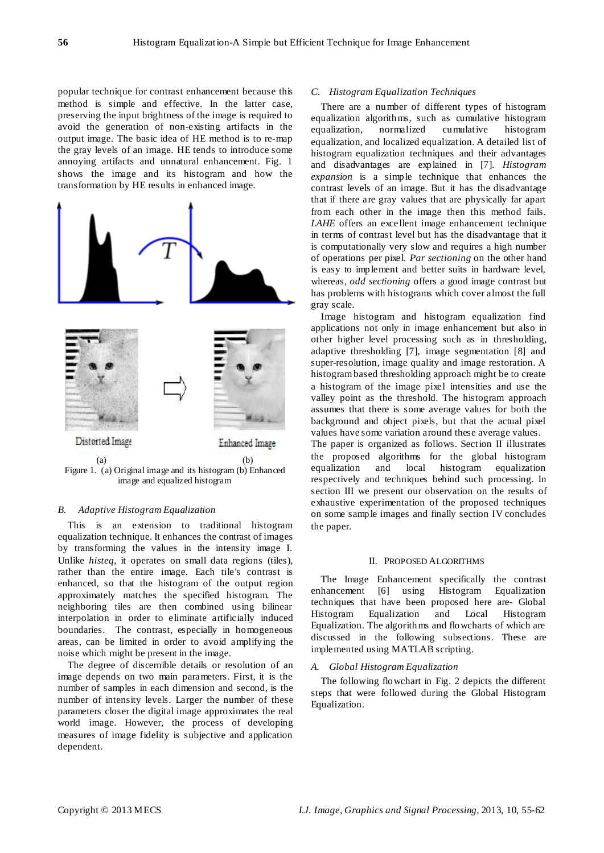popular technique for contrast enhancement because this method is simple and effective. In the latter case, preserving the input brightness of the image is required to avoid the generation of non-existing artifacts in the output image. The basic idea of HE method is to re-map the gray levels of an image. HE tends to introduce some annoying artifacts and unnatural enhancement. Fig. 1 shows the image and its histogram and how the transformation by HE results in enhanced image.



Figure 1. (a) Original image and its histogram (b) Enhanced image and equalized histogram

### *B. Adaptive Histogram Equalization*

This is an extension to traditional histogram equalization technique. It enhances the contrast of images by transforming the values in the intensity image I. Unlike *histeq*, it operates on small data regions (tiles), rather than the entire image. Each tile's contrast is enhanced, so that the histogram of the output region approximately matches the specified histogram. The neighboring tiles are then combined using bilinear interpolation in order to eliminate artificially induced boundaries. The contrast, especially in homogeneous areas, can be limited in order to avoid amplifying the noise which might be present in the image.

The degree of discernible details or resolution of an image depends on two main parameters. First, it is the number of samples in each dimension and second, is the number of intensity levels. Larger the number of these parameters closer the digital image approximates the real world image. However, the process of developing measures of image fidelity is subjective and application dependent.

## *C. Histogram Equalization Techniques*

There are a number of different types of histogram equalization algorithms, such as cumulative histogram equalization, normalized cumulative histogram equalization, and localized equalization. A detailed list of histogram equalization techniques and their advantages and disadvantages are explained in [7]. *Histogram expansion* is a simple technique that enhances the contrast levels of an image. But it has the disadvantage that if there are gray values that are physically far apart from each other in the image then this method fails. *LAHE* offers an excellent image enhancement technique in terms of contrast level but has the disadvantage that it is computationally very slow and requires a high number of operations per pixel. *Par sectioning* on the other hand is easy to implement and better suits in hardware level, whereas, *odd sectioning* offers a good image contrast but has problems with histograms which cover almost the full gray scale.

Image histogram and histogram equalization find applications not only in image enhancement but also in other higher level processing such as in thresholding, adaptive thresholding [7], image segmentation [8] and super-resolution, image quality and image restoration. A histogram based thresholding approach might be to create a histogram of the image pixel intensities and use the valley point as the threshold. The histogram approach assumes that there is some average values for both the background and object pixels, but that the actual pixel values have some variation around these average values. The paper is organized as follows. Section II illustrates the proposed algorithms for the global histogram equalization and local histogram equalization respectively and techniques behind such processing. In section III we present our observation on the results of exhaustive experimentation of the proposed techniques on some sample images and finally section IV concludes the paper.

#### II. PROPOSED ALGORITHMS

The Image Enhancement specifically the contrast enhancement [6] using Histogram Equalization techniques that have been proposed here are- Global Histogram Equalization and Local Histogram Equalization. The algorithms and flowcharts of which are discussed in the following subsections. These are implemented using MATLAB scripting.

#### *A. Global Histogram Equalization*

The following flowchart in Fig. 2 depicts the different steps that were followed during the Global Histogram Equalization.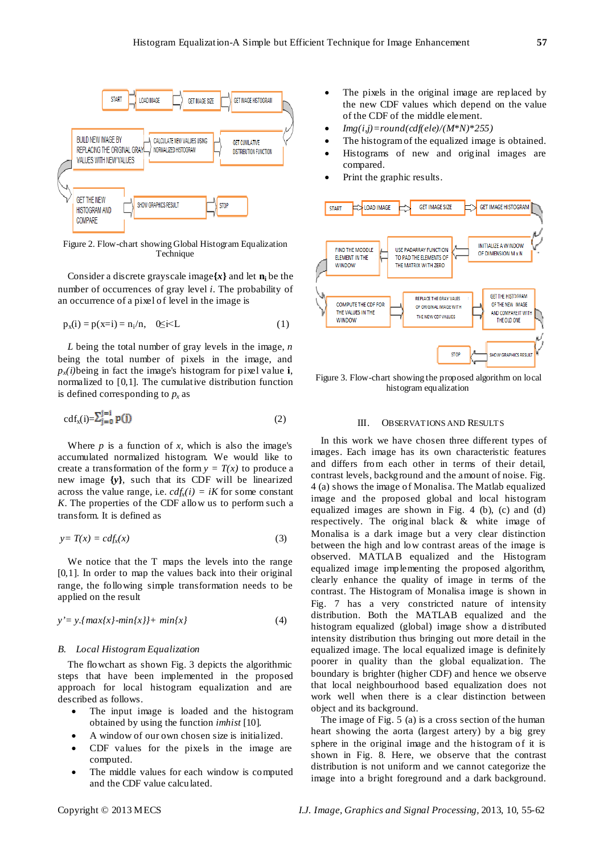

Figure 2. Flow-chart showing Global Histogram Equalization Technique

Consider a discrete grayscale image $\{x\}$  and let  $n_i$  be the number of occurrences of gray level *i*. The probability of an occurrence of a pixel of level in the image is

$$
p_x(i) = p(x=i) = n_i/n, \quad 0 \le i \le L
$$
 (1)

*L* being the total number of gray levels in the image, *n* being the total number of pixels in the image, and  $p_x(i)$ being in fact the image's histogram for pixel value **i**, normalized to [0,1]. The [cumulative distribution function](http://en.wikipedia.org/wiki/Cumulative_distribution_function) is defined corresponding to  $p_x$  as

$$
\mathrm{cdf}_{x}(i) = \sum_{j=0}^{j=1} \mathbf{P}(j)
$$
 (2)

Where  $p$  is a function of  $x$ , which is also the image's accumulated normalized histogram. We would like to create a transformation of the form  $y = T(x)$  to produce a new image **{***y***}**, such that its CDF will be linearized across the value range, i.e.  $cdf_x(i) = iK$  for some constant *K*. The properties of the CDF allow us to perform such a transform. It is defined as

$$
y = T(x) = cdf_x(x) \tag{3}
$$

We notice that the T maps the levels into the range [0,1]. In order to map the values back into their original range, the following simple transformation needs to be applied on the result

$$
y'=y.\{max\{x\}-min\{x\}\}+\ min\{x\}\tag{4}
$$

#### *B. Local Histogram Equalization*

The flowchart as shown Fig. 3 depicts the algorithmic steps that have been implemented in the proposed approach for local histogram equalization and are described as follows.

- The input image is loaded and the histogram obtained by using the function *imhist* [10]*.*
- A window of our own chosen size is initialized.
- CDF values for the pixels in the image are computed.
- The middle values for each window is computed and the CDF value calculated.
- The pixels in the original image are replaced by the new CDF values which depend on the value of the CDF of the middle element.
- *Img(i,j)=round(cdf(ele)/(M\*N)\*255)*
- The histogram of the equalized image is obtained.
- Histograms of new and original images are compared.
- Print the graphic results.



Figure 3. Flow-chart showing the proposed algorithm on local histogram equalization

#### III. OBSERVATIONS AND RESULTS

In this work we have chosen three different types of images. Each image has its own characteristic features and differs from each other in terms of their detail, contrast levels, background and the amount of noise. Fig. 4 (a) shows the image of Monalisa. The Matlab equalized image and the proposed global and local histogram equalized images are shown in Fig. 4 (b), (c) and (d) respectively. The original black & white image of Monalisa is a dark image but a very clear distinction between the high and low contrast areas of the image is observed. MATLAB equalized and the Histogram equalized image implementing the proposed algorithm, clearly enhance the quality of image in terms of the contrast. The Histogram of Monalisa image is shown in Fig. 7 has a very constricted nature of intensity distribution. Both the MATLAB equalized and the histogram equalized (global) image show a distributed intensity distribution thus bringing out more detail in the equalized image. The local equalized image is definitely poorer in quality than the global equalization. The boundary is brighter (higher CDF) and hence we observe that local neighbourhood based equalization does not work well when there is a clear distinction between object and its background.

The image of Fig. 5 (a) is a cross section of the human heart showing the aorta (largest artery) by a big grey sphere in the original image and the histogram of it is shown in Fig. 8. Here, we observe that the contrast distribution is not uniform and we cannot categorize the image into a bright foreground and a dark background.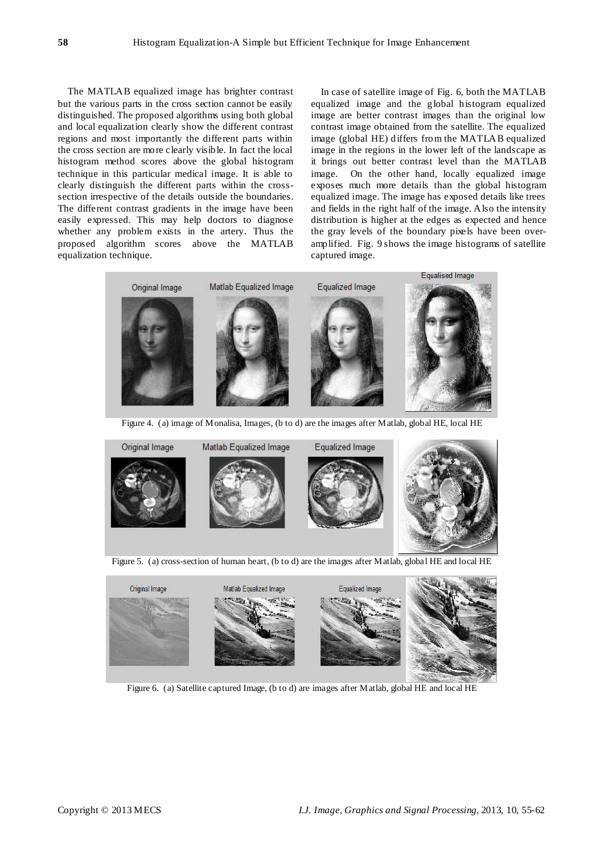The MATLAB equalized image has brighter contrast but the various parts in the cross section cannot be easily distinguished. The proposed algorithms using both global and local equalization clearly show the different contrast regions and most importantly the different parts within the cross section are more clearly visible. In fact the local histogram method scores above the global histogram technique in this particular medical image. It is able to clearly distinguish the different parts within the crosssection irrespective of the details outside the boundaries. The different contrast gradients in the image have been easily expressed. This may help doctors to diagnose whether any problem exists in the artery. Thus the proposed algorithm scores above the MATLAB equalization technique.

In case of satellite image of Fig. 6, both the MATLAB equalized image and the global histogram equalized image are better contrast images than the original low contrast image obtained from the satellite. The equalized image (global HE) differs from the MATLAB equalized image in the regions in the lower left of the landscape as it brings out better contrast level than the MATLAB image. On the other hand, locally equalized image exposes much more details than the global histogram equalized image. The image has exposed details like trees and fields in the right half of the image. Also the intensity distribution is higher at the edges as expected and hence the gray levels of the boundary pixels have been overamplified. Fig. 9 shows the image histograms of satellite captured image.







Figure 5. (a) cross-section of human heart, (b to d) are the images after Matlab, global HE and local HE



Figure 6. (a) Satellite captured Image, (b to d) are images after Matlab, global HE and local HE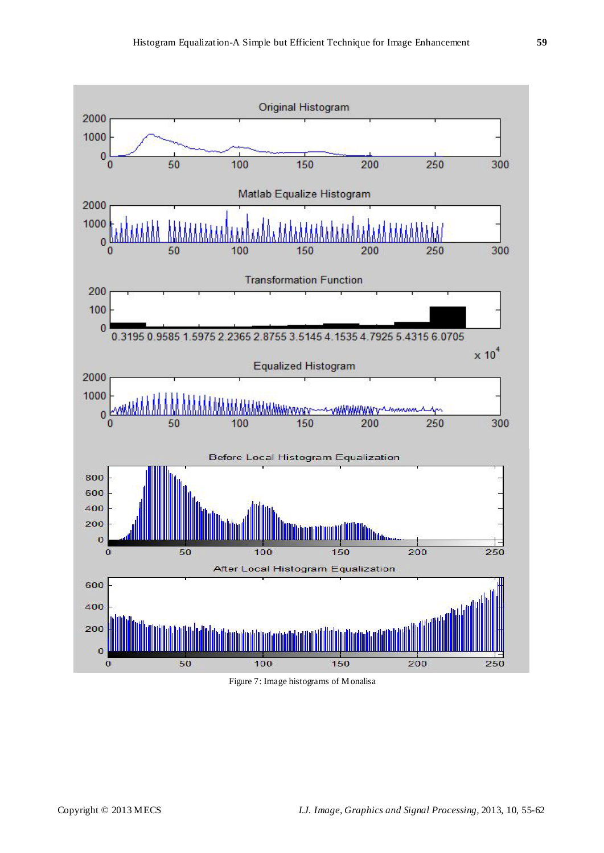

Figure 7: Image histograms of Monalisa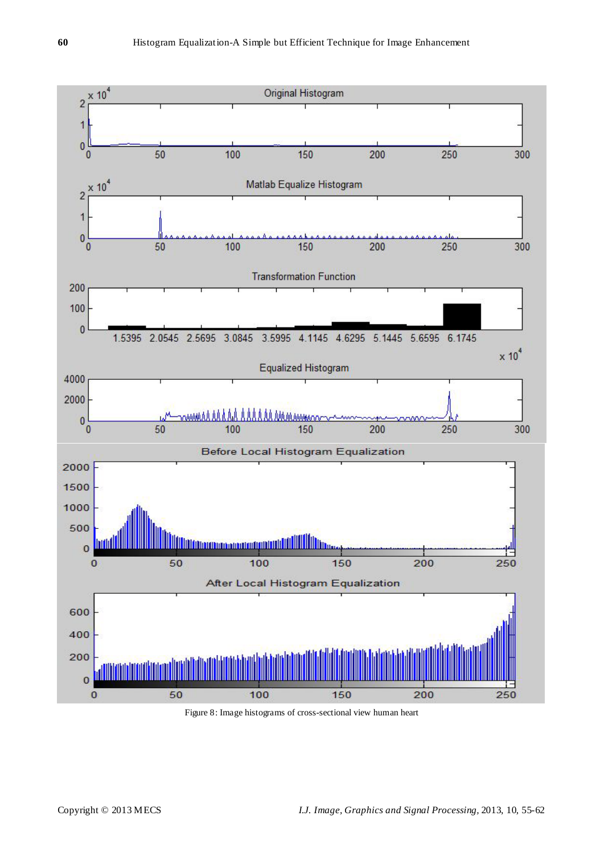

Figure 8: Image histograms of cross-sectional view human heart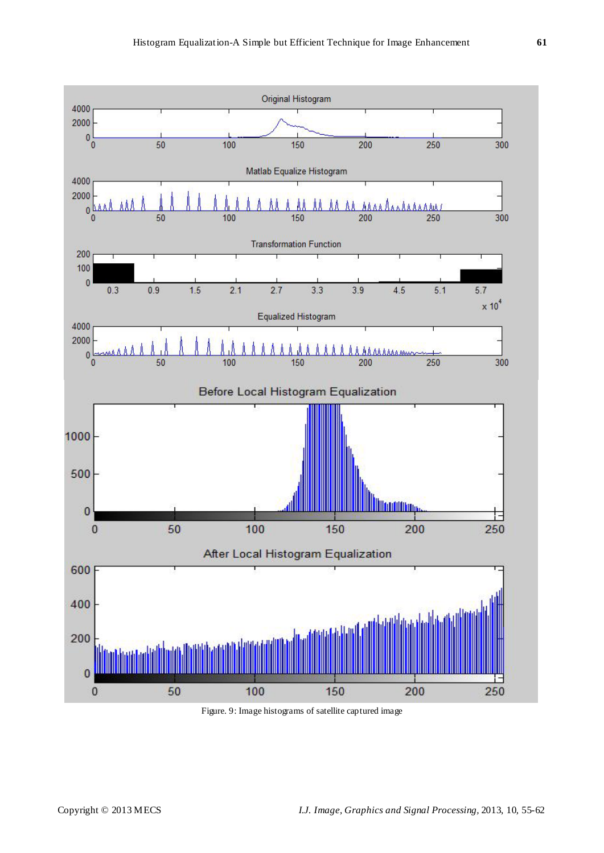

Figure. 9: Image histograms of satellite captured image